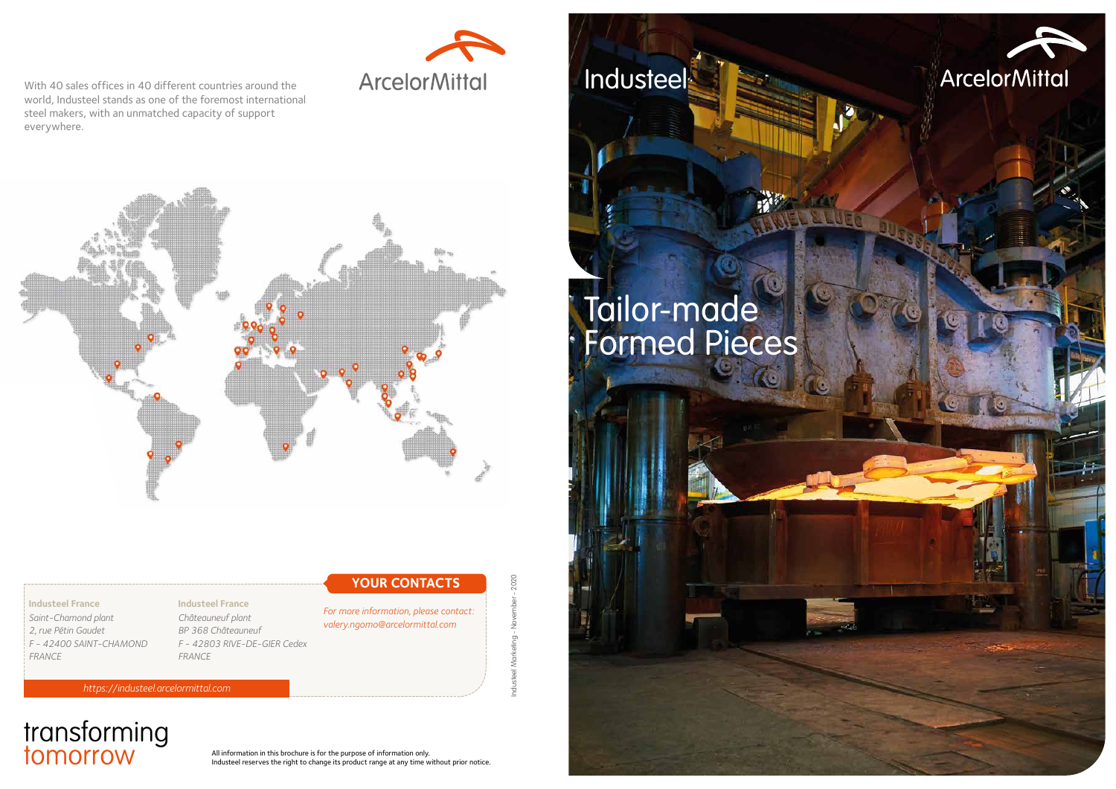# Tailor-made Formed Pieces



steel Marketing - November - 2020 Industeel Marketing - November - 2020

# transforming

All information in this brochure is for the purpose of information only.<br>Industeel reserves the right to change its product range at any time w Industeel reserves the right to change its product range at any time without prior notice. **Industeel** 

#### **Industeel France**

*Saint-Chamond plant 2, rue Pétin Gaudet F - 42400 SAINT-CHAMOND FRANCE*

*https://industeel.arcelormittal.com*

### **YOUR CONTACTS**



With 40 sales offices in 40 different countries around the world, Industeel stands as one of the foremost international steel makers, with an unmatched capacity of support everywhere.



#### **Industeel France** *Châteauneuf plant BP 368 Châteauneuf F - 42803 RIVE-DE-GIER Cedex FRANCE*

*For more information, please contact: valery.ngomo@arcelormittal.com*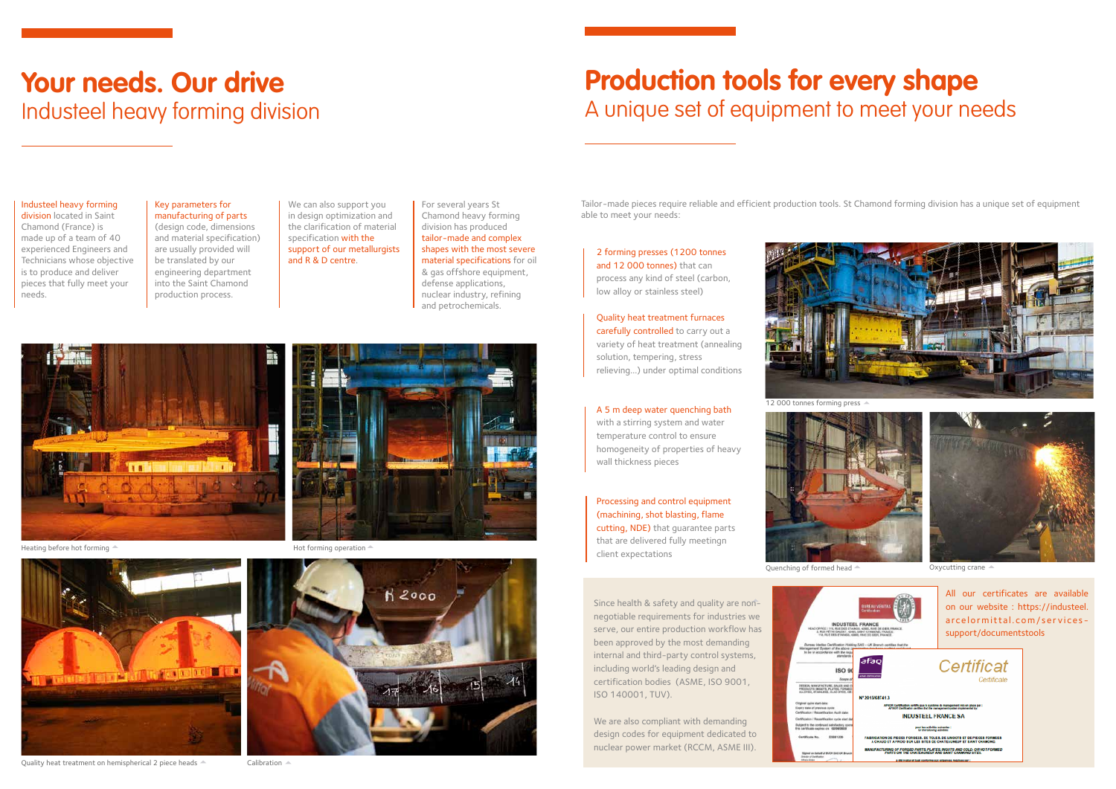# **Production tools for every shape** A unique set of equipment to meet your needs

## **Your needs. Our drive** Industeel heavy forming division

2 forming presses (1200 tonnes and 12 000 tonnes) that can process any kind of steel (carbon, low alloy or stainless steel)

Quality heat treatment furnaces carefully controlled to carry out a variety of heat treatment (annealing solution, tempering, stress relieving…) under optimal conditions

A 5 m deep water quenching bath

with a stirring system and water temperature control to ensure homogeneity of properties of heavy wall thickness pieces

We are also compliant with demanding design codes for equipment dedicated to nuclear power market (RCCM, ASME III).



### Processing and control equipment (machining, shot blasting, flame

division located in Saint Chamond (France) is made up of a team of 40 experienced Engineers and Technicians whose objective is to produce and deliver pieces that fully meet your needs.

> cutting, NDE) that guarantee parts that are delivered fully meetingn client expectations



Since health & safety and quality are nonnegotiable requirements for industries we serve, our entire production workflow has been approved by the most demanding internal and third-party control systems, including world's leading design and certification bodies (ASME, ISO 9001, ISO 140001, TUV).

#### Industeel heavy forming

#### Key parameters for manufacturing of parts

(design code, dimensions and material specification) are usually provided will be translated by our engineering department into the Saint Chamond production process.

We can also support you in design optimization and the clarification of material specification with the support of our metallurgists and R & D centre.

For several years St Chamond heavy forming division has produced tailor-made and complex shapes with the most severe material specifications for oil & gas offshore equipment, defense applications, nuclear industry, refining and petrochemicals.

Heating before hot forming  $\triangle$  and the state of the Hot forming operation  $\triangle$ 



 $R2000$ 



Tailor-made pieces require reliable and efficient production tools. St Chamond forming division has a unique set of equipment able to meet your needs:

> All our certificates are available on our website : https://industeel. arcelormittal.com/servicessupport/documentstools

ORGED PARTS, PLATES, INGOTS AND COLD- OR H

12 000 tonnes forming press





Quality heat treatment on hemispherical 2 piece heads  $\triangle$  Calibration